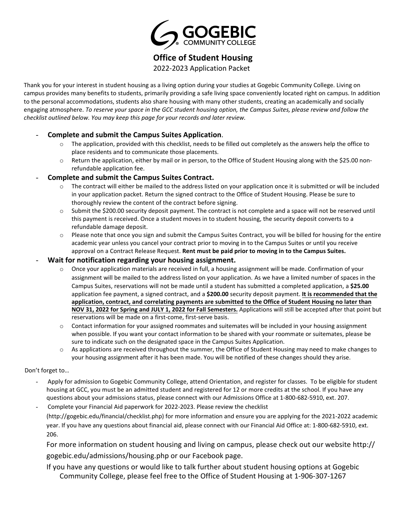

**Office of Student Housing** 

2022-2023 Application Packet

Thank you for your interest in student housing as a living option during your studies at Gogebic Community College. Living on campus provides many benefits to students, primarily providing a safe living space conveniently located right on campus. In addition to the personal accommodations, students also share housing with many other students, creating an academically and socially engaging atmosphere. *To reserve your space in the GCC student housing option, the Campus Suites, please review and follow the checklist outlined below. You may keep this page for your records and later review.*

#### - **Complete and submit the Campus Suites Application**.

- $\circ$  The application, provided with this checklist, needs to be filled out completely as the answers help the office to place residents and to communicate those placements.
- o Return the application, either by mail or in person, to the Office of Student Housing along with the \$25.00 nonrefundable application fee.

#### - **Complete and submit the Campus Suites Contract.**

- o The contract will either be mailed to the address listed on your application once it is submitted or will be included in your application packet. Return the signed contract to the Office of Student Housing. Please be sure to thoroughly review the content of the contract before signing.
- o Submit the \$200.00 security deposit payment. The contract is not complete and a space will not be reserved until this payment is received. Once a student moves in to student housing, the security deposit converts to a refundable damage deposit.
- $\circ$  Please note that once you sign and submit the Campus Suites Contract, you will be billed for housing for the entire academic year unless you cancel your contract prior to moving in to the Campus Suites or until you receive approval on a Contract Release Request. **Rent must be paid prior to moving in to the Campus Suites.**
- **Wait for notification regarding your housing assignment.**
	- o Once your application materials are received in full, a housing assignment will be made. Confirmation of your assignment will be mailed to the address listed on your application. As we have a limited number of spaces in the Campus Suites, reservations will not be made until a student has submitted a completed application, a **\$25.00** application fee payment, a signed contract, and a **\$200.00** security deposit payment. **It is recommended that the application, contract, and correlating payments are submitted to the Office of Student Housing no later than NOV 31, 2022 for Spring and JULY 1, 2022 for Fall Semesters.** Applications will still be accepted after that point but reservations will be made on a first-come, first-serve basis.
	- $\circ$  Contact information for your assigned roommates and suitemates will be included in your housing assignment when possible. If you want your contact information to be shared with your roommate or suitemates, please be sure to indicate such on the designated space in the Campus Suites Application.
	- o As applications are received throughout the summer, the Office of Student Housing may need to make changes to your housing assignment after it has been made. You will be notified of these changes should they arise.

#### Don't forget to…

- Apply for admission to Gogebic Community College, attend Orientation, and register for classes. To be eligible for student housing at GCC, you must be an admitted student and registered for 12 or more credits at the school. If you have any questions about your admissions status, please connect with our Admissions Office at 1-800-682-5910, ext. 207.
- Complete your Financial Aid paperwork for 2022-2023. Please review the checklist (http://gogebic.edu/financial/checklist.php) for more information and ensure you are applying for the 2021-2022 academic year. If you have any questions about financial aid, please connect with our Financial Aid Office at: 1-800-682-5910, ext. 206.

[For more information on student housing and living on campus, please check out our website](http://gogebic.edu/admissions/housing.php) http:// gogebic.edu/admissions/housing.php or our Facebook page.

If you have any questions or would like to talk further about student housing options at Gogebic Community College, please feel free to the Office of Student Housing at 1-906-307-1267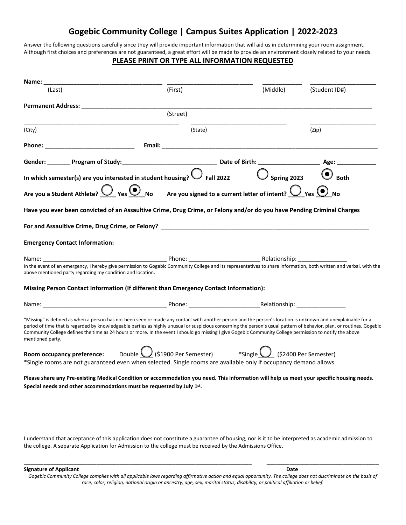### **Gogebic Community College | Campus Suites Application | 2022-2023**

Answer the following questions carefully since they will provide important information that will aid us in determining your room assignment. Although first choices and preferences are not guaranteed, a great effort will be made to provide an environment closely related to your needs.

#### **PLEASE PRINT OR TYPE ALL INFORMATION REQUESTED**

| Name:                                                                                                                                                                                                                                                                                                                                                                                                                                                                                                                  |          |  |          |               |
|------------------------------------------------------------------------------------------------------------------------------------------------------------------------------------------------------------------------------------------------------------------------------------------------------------------------------------------------------------------------------------------------------------------------------------------------------------------------------------------------------------------------|----------|--|----------|---------------|
| (Last)                                                                                                                                                                                                                                                                                                                                                                                                                                                                                                                 | (First)  |  | (Middle) | (Student ID#) |
|                                                                                                                                                                                                                                                                                                                                                                                                                                                                                                                        |          |  |          |               |
|                                                                                                                                                                                                                                                                                                                                                                                                                                                                                                                        | (Street) |  |          |               |
| (City)                                                                                                                                                                                                                                                                                                                                                                                                                                                                                                                 | (State)  |  |          | (Zip)         |
|                                                                                                                                                                                                                                                                                                                                                                                                                                                                                                                        |          |  |          |               |
|                                                                                                                                                                                                                                                                                                                                                                                                                                                                                                                        |          |  |          |               |
| In which semester(s) are you interested in student housing? $\bigcirc$ Fall 2022 $\bigcirc$ Spring 2023 $\bigcirc$ Both                                                                                                                                                                                                                                                                                                                                                                                                |          |  |          |               |
| Are you a Student Athlete? $\bigcirc$ Yes $\bigcirc$ No Are you signed to a current letter of intent? $\bigcirc$ Yes $\bigcirc$ No                                                                                                                                                                                                                                                                                                                                                                                     |          |  |          |               |
| Have you ever been convicted of an Assaultive Crime, Drug Crime, or Felony and/or do you have Pending Criminal Charges                                                                                                                                                                                                                                                                                                                                                                                                 |          |  |          |               |
|                                                                                                                                                                                                                                                                                                                                                                                                                                                                                                                        |          |  |          |               |
| <b>Emergency Contact Information:</b>                                                                                                                                                                                                                                                                                                                                                                                                                                                                                  |          |  |          |               |
| In the event of an emergency, I hereby give permission to Gogebic Community College and its representatives to share information, both written and verbal, with the<br>above mentioned party regarding my condition and location.                                                                                                                                                                                                                                                                                      |          |  |          |               |
| Missing Person Contact Information (If different than Emergency Contact Information):                                                                                                                                                                                                                                                                                                                                                                                                                                  |          |  |          |               |
|                                                                                                                                                                                                                                                                                                                                                                                                                                                                                                                        |          |  |          |               |
| "Missing" is defined as when a person has not been seen or made any contact with another person and the person's location is unknown and unexplainable for a<br>period of time that is regarded by knowledgeable parties as highly unusual or suspicious concerning the person's usual pattern of behavior, plan, or routines. Gogebic<br>Community College defines the time as 24 hours or more. In the event I should go missing I give Gogebic Community College permission to notify the above<br>mentioned party. |          |  |          |               |
| <b>Room occupancy preference:</b> Double $\bigcup$ (\$1900 Per Semester) *Single $\bigcup$ (\$2400 Per Semester)<br>*Single rooms are not guaranteed even when selected. Single rooms are available only if occupancy demand allows.                                                                                                                                                                                                                                                                                   |          |  |          |               |
| Please share any Pre-existing Medical Condition or accommodation you need. This information will help us meet your specific housing needs.<br>Special needs and other accommodations must be requested by July 1st.                                                                                                                                                                                                                                                                                                    |          |  |          |               |
|                                                                                                                                                                                                                                                                                                                                                                                                                                                                                                                        |          |  |          |               |
|                                                                                                                                                                                                                                                                                                                                                                                                                                                                                                                        |          |  |          |               |
|                                                                                                                                                                                                                                                                                                                                                                                                                                                                                                                        |          |  |          |               |

I understand that acceptance of this application does not constitute a guarantee of housing, nor is it to be interpreted as academic admission to the college. A separate Application for Admission to the college must be received by the Admissions Office.

**Signature of Applicant Date** 

Gogebic Community College complies with all applicable laws regarding affirmative action and equal opportunity. The college does not discriminate on the basis of *race, color, religion, national origin or ancestry, age, sex, marital status, disability, or political affiliation or belief.*

\_\_\_\_\_\_\_\_\_\_\_\_\_\_\_\_\_\_\_\_\_\_\_\_\_\_\_\_\_\_\_\_\_\_\_\_\_\_\_\_\_\_\_\_\_\_\_\_\_\_\_\_\_\_\_\_\_\_\_\_\_\_\_\_\_\_\_\_\_ \_\_\_\_\_\_\_\_\_\_\_\_\_\_\_\_\_\_\_\_\_\_\_\_\_\_\_\_\_\_\_\_\_\_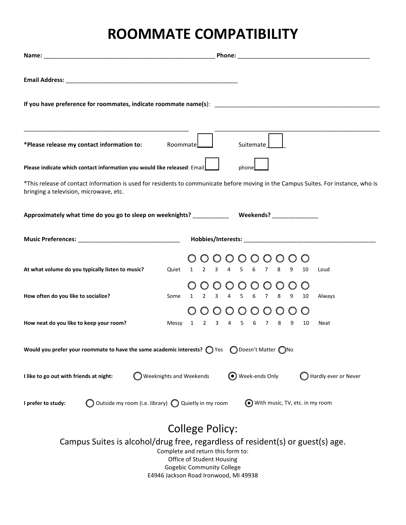# **ROOMMATE COMPATIBILITY**

| If you have preference for roommates, indicate roommate name(s): [19] The manner of the series were also the summated of the series were also the series were also the series were also the series were also the series were a                   |            |                                      |                      |  |  |  |
|--------------------------------------------------------------------------------------------------------------------------------------------------------------------------------------------------------------------------------------------------|------------|--------------------------------------|----------------------|--|--|--|
|                                                                                                                                                                                                                                                  |            |                                      |                      |  |  |  |
| *Please release my contact information to: Roommate                                                                                                                                                                                              |            | Suitemate                            |                      |  |  |  |
| Please indicate which contact information you would like released: Email_                                                                                                                                                                        |            | phone                                |                      |  |  |  |
| *This release of contact information is used for residents to communicate before moving in the Campus Suites. For instance, who is<br>bringing a television, microwave, etc.                                                                     |            |                                      |                      |  |  |  |
|                                                                                                                                                                                                                                                  |            |                                      |                      |  |  |  |
| Music Preferences: 1980 Music Preferences: 2008 Music Preferences: 2008 Music Preferences: 2008 Music Preferences:                                                                                                                               |            |                                      |                      |  |  |  |
|                                                                                                                                                                                                                                                  | $\bigcirc$ | $\bigcirc$<br>$\bigcirc$<br>$\circ$  |                      |  |  |  |
| At what volume do you typically listen to music?                                                                                                                                                                                                 |            | Quiet 1 2 3 4 5 6 7 8 9              | 10<br>Loud           |  |  |  |
|                                                                                                                                                                                                                                                  |            | $000000$                             |                      |  |  |  |
| How often do you like to socialize?<br>Some                                                                                                                                                                                                      |            | 1 2 3 4 5 6 7 8 9                    | 10<br>Always         |  |  |  |
| How neat do you like to keep your room?                                                                                                                                                                                                          |            | 000000000<br>Messy 1 2 3 4 5 6 7 8 9 | 10                   |  |  |  |
|                                                                                                                                                                                                                                                  |            |                                      | Neat                 |  |  |  |
| Would you prefer your roommate to have the same academic interests? $\bigcirc$ Yes $\bigcirc$ Doesn't Matter $\bigcirc$ No                                                                                                                       |            |                                      |                      |  |  |  |
| <b>Weeknights and Weekends</b><br>I like to go out with friends at night:                                                                                                                                                                        |            | ◯ Week-ends Only                     | Hardly ever or Never |  |  |  |
| Outside my room (i.e. library) $\bigcap$ Quietly in my room<br>I prefer to study:                                                                                                                                                                |            | With music, TV, etc. in my room      |                      |  |  |  |
| College Policy:<br>Campus Suites is alcohol/drug free, regardless of resident(s) or guest(s) age.<br>Complete and return this form to:<br>Office of Student Housing<br><b>Gogebic Community College</b><br>E4946 Jackson Road Ironwood, MI 49938 |            |                                      |                      |  |  |  |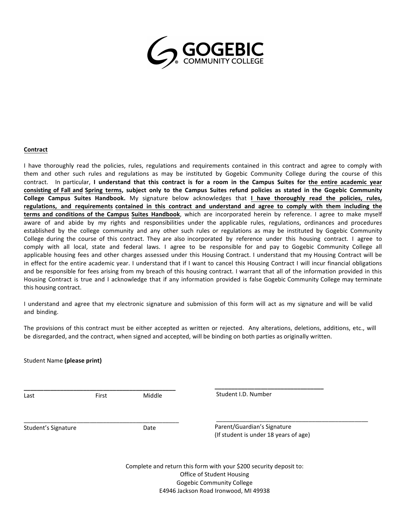

#### **Contract**

I have thoroughly read the policies, rules, regulations and requirements contained in this contract and agree to comply with them and other such rules and regulations as may be instituted by Gogebic Community College during the course of this contract. In particular, **I understand that this contract is for a room in the Campus Suites for the entire academic year consisting of Fall and Spring terms, subject only to the Campus Suites refund policies as stated in the Gogebic Community College Campus Suites Handbook.** My signature below acknowledges that **I have thoroughly read the policies, rules, regulations, and requirements contained in this contract and understand and agree to comply with them including the terms and conditions of the Campus Suites Handbook**, which are incorporated herein by reference. I agree to make myself aware of and abide by my rights and responsibilities under the applicable rules, regulations, ordinances and procedures established by the college community and any other such rules or regulations as may be instituted by Gogebic Community College during the course of this contract. They are also incorporated by reference under this housing contract. I agree to comply with all local, state and federal laws. I agree to be responsible for and pay to Gogebic Community College all applicable housing fees and other charges assessed under this Housing Contract. I understand that my Housing Contract will be in effect for the entire academic year. I understand that if I want to cancel this Housing Contract I will incur financial obligations and be responsible for fees arising from my breach of this housing contract. I warrant that all of the information provided in this Housing Contract is true and I acknowledge that if any information provided is false Gogebic Community College may terminate this housing contract.

I understand and agree that my electronic signature and submission of this form will act as my signature and will be valid and binding.

The provisions of this contract must be either accepted as written or rejected. Any alterations, deletions, additions, etc., will be disregarded, and the contract, when signed and accepted, will be binding on both parties as originally written.

Student Name **(please print) \_\_\_\_\_\_\_\_\_\_\_\_\_\_\_\_\_\_\_\_\_\_\_\_\_\_\_\_\_\_\_\_\_** Student I.D. Number \_\_\_\_\_\_\_\_\_\_\_\_\_\_\_\_\_\_\_\_\_\_\_\_\_\_\_\_\_\_\_\_\_\_\_\_\_\_\_\_\_\_\_\_\_\_ **\_\_\_\_\_\_\_\_\_\_\_\_\_\_\_\_\_\_\_\_\_\_\_\_\_\_\_\_\_\_\_\_\_\_\_\_\_\_\_\_\_\_\_\_\_\_** Last **Eirst** Middle \_\_\_\_\_\_\_\_\_\_\_\_\_\_\_\_\_\_\_\_\_\_\_\_\_\_\_\_\_\_\_\_\_\_\_\_\_\_\_\_\_\_\_\_\_\_\_ Student's Signature Date Parent/Guardian's Signature (If student is under 18 years of age) Complete and return this form with your \$200 security deposit to: Office of Student Housing

Gogebic Community College

E4946 Jackson Road Ironwood, MI 49938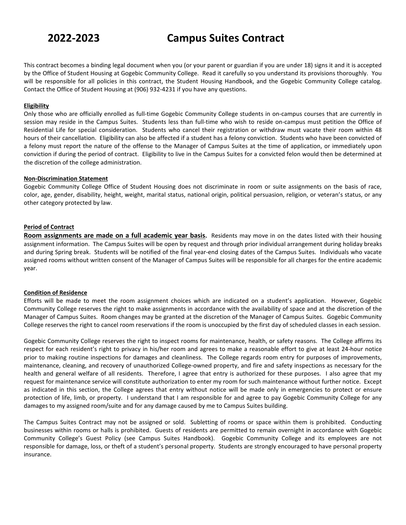This contract becomes a binding legal document when you (or your parent or guardian if you are under 18) signs it and it is accepted by the Office of Student Housing at Gogebic Community College. Read it carefully so you understand its provisions thoroughly. You will be responsible for all policies in this contract, the Student Housing Handbook, and the Gogebic Community College catalog. Contact the Office of Student Housing at (906) 932-4231 if you have any questions.

#### **Eligibility**

Only those who are officially enrolled as full-time Gogebic Community College students in on-campus courses that are currently in session may reside in the Campus Suites. Students less than full-time who wish to reside on-campus must petition the Office of Residential Life for special consideration. Students who cancel their registration or withdraw must vacate their room within 48 hours of their cancellation. Eligibility can also be affected if a student has a felony conviction. Students who have been convicted of a felony must report the nature of the offense to the Manager of Campus Suites at the time of application, or immediately upon conviction if during the period of contract. Eligibility to live in the Campus Suites for a convicted felon would then be determined at the discretion of the college administration.

#### **Non-Discrimination Statement**

Gogebic Community College Office of Student Housing does not discriminate in room or suite assignments on the basis of race, color, age, gender, disability, height, weight, marital status, national origin, political persuasion, religion, or veteran's status, or any other category protected by law.

#### **Period of Contract**

**Room assignments are made on a full academic year basis.** Residents may move in on the dates listed with their housing assignment information. The Campus Suites will be open by request and through prior individual arrangement during holiday breaks and during Spring break. Students will be notified of the final year-end closing dates of the Campus Suites. Individuals who vacate assigned rooms without written consent of the Manager of Campus Suites will be responsible for all charges for the entire academic year.

#### **Condition of Residence**

Efforts will be made to meet the room assignment choices which are indicated on a student's application. However, Gogebic Community College reserves the right to make assignments in accordance with the availability of space and at the discretion of the Manager of Campus Suites. Room changes may be granted at the discretion of the Manager of Campus Suites. Gogebic Community College reserves the right to cancel room reservations if the room is unoccupied by the first day of scheduled classes in each session.

Gogebic Community College reserves the right to inspect rooms for maintenance, health, or safety reasons. The College affirms its respect for each resident's right to privacy in his/her room and agrees to make a reasonable effort to give at least 24-hour notice prior to making routine inspections for damages and cleanliness. The College regards room entry for purposes of improvements, maintenance, cleaning, and recovery of unauthorized College-owned property, and fire and safety inspections as necessary for the health and general welfare of all residents. Therefore, I agree that entry is authorized for these purposes. I also agree that my request for maintenance service will constitute authorization to enter my room for such maintenance without further notice. Except as indicated in this section, the College agrees that entry without notice will be made only in emergencies to protect or ensure protection of life, limb, or property. I understand that I am responsible for and agree to pay Gogebic Community College for any damages to my assigned room/suite and for any damage caused by me to Campus Suites building.

The Campus Suites Contract may not be assigned or sold. Subletting of rooms or space within them is prohibited. Conducting businesses within rooms or halls is prohibited. Guests of residents are permitted to remain overnight in accordance with Gogebic Community College's Guest Policy (see Campus Suites Handbook). Gogebic Community College and its employees are not responsible for damage, loss, or theft of a student's personal property. Students are strongly encouraged to have personal property insurance.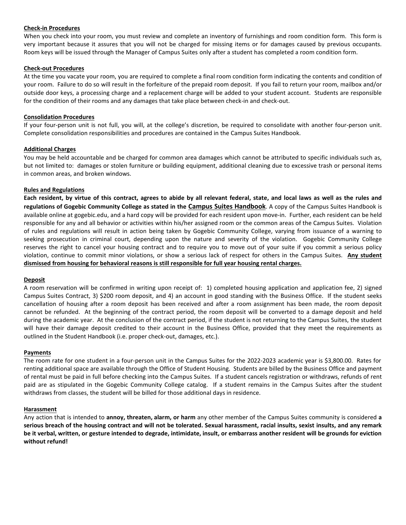#### **Check-in Procedures**

When you check into your room, you must review and complete an inventory of furnishings and room condition form. This form is very important because it assures that you will not be charged for missing items or for damages caused by previous occupants. Room keys will be issued through the Manager of Campus Suites only after a student has completed a room condition form.

#### **Check-out Procedures**

At the time you vacate your room, you are required to complete a final room condition form indicating the contents and condition of your room. Failure to do so will result in the forfeiture of the prepaid room deposit. If you fail to return your room, mailbox and/or outside door keys, a processing charge and a replacement charge will be added to your student account. Students are responsible for the condition of their rooms and any damages that take place between check-in and check-out.

#### **Consolidation Procedures**

If your four-person unit is not full, you will, at the college's discretion, be required to consolidate with another four-person unit. Complete consolidation responsibilities and procedures are contained in the Campus Suites Handbook.

#### **Additional Charges**

You may be held accountable and be charged for common area damages which cannot be attributed to specific individuals such as, but not limited to: damages or stolen furniture or building equipment, additional cleaning due to excessive trash or personal items in common areas, and broken windows.

#### **Rules and Regulations**

**Each resident, by virtue of this contract, agrees to abide by all relevant federal, state, and local laws as well as the rules and regulations of Gogebic Community College as stated in the Campus Suites Handbook**. A copy of the Campus Suites Handbook is available online at gogebic.edu, and a hard copy will be provided for each resident upon move-in. Further, each resident can be held responsible for any and all behavior or activities within his/her assigned room or the common areas of the Campus Suites. Violation of rules and regulations will result in action being taken by Gogebic Community College, varying from issuance of a warning to seeking prosecution in criminal court, depending upon the nature and severity of the violation. Gogebic Community College reserves the right to cancel your housing contract and to require you to move out of your suite if you commit a serious policy violation, continue to commit minor violations, or show a serious lack of respect for others in the Campus Suites. **Any student dismissed from housing for behavioral reasons is still responsible for full year housing rental charges.**

#### **Deposit**

A room reservation will be confirmed in writing upon receipt of: 1) completed housing application and application fee, 2) signed Campus Suites Contract, 3) \$200 room deposit, and 4) an account in good standing with the Business Office. If the student seeks cancellation of housing after a room deposit has been received and after a room assignment has been made, the room deposit cannot be refunded. At the beginning of the contract period, the room deposit will be converted to a damage deposit and held during the academic year. At the conclusion of the contract period, if the student is not returning to the Campus Suites, the student will have their damage deposit credited to their account in the Business Office, provided that they meet the requirements as outlined in the Student Handbook (i.e. proper check-out, damages, etc.).

#### **Payments**

The room rate for one student in a four-person unit in the Campus Suites for the 2022-2023 academic year is \$3,800.00. Rates for renting additional space are available through the Office of Student Housing. Students are billed by the Business Office and payment of rental must be paid in full before checking into the Campus Suites. If a student cancels registration or withdraws, refunds of rent paid are as stipulated in the Gogebic Community College catalog. If a student remains in the Campus Suites after the student withdraws from classes, the student will be billed for those additional days in residence.

#### **Harassment**

Any action that is intended to **annoy, threaten, alarm, or harm** any other member of the Campus Suites community is considered **a serious breach of the housing contract and will not be tolerated. Sexual harassment, racial insults, sexist insults, and any remark be it verbal, written, or gesture intended to degrade, intimidate, insult, or embarrass another resident will be grounds for eviction without refund!**